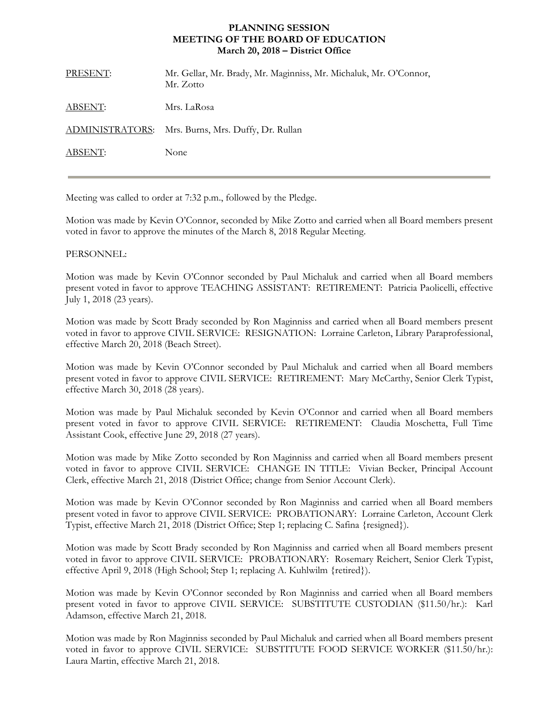## **PLANNING SESSION MEETING OF THE BOARD OF EDUCATION March 20, 2018 – District Office**

| PRESENT: | Mr. Gellar, Mr. Brady, Mr. Maginniss, Mr. Michaluk, Mr. O'Connor,<br>Mr. Zotto |
|----------|--------------------------------------------------------------------------------|
| ABSENT:  | Mrs. LaRosa                                                                    |
|          | ADMINISTRATORS: Mrs. Burns, Mrs. Duffy, Dr. Rullan                             |
| ABSENT:  | None                                                                           |
|          |                                                                                |

Meeting was called to order at 7:32 p.m., followed by the Pledge.

Motion was made by Kevin O'Connor, seconded by Mike Zotto and carried when all Board members present voted in favor to approve the minutes of the March 8, 2018 Regular Meeting.

## PERSONNEL:

Motion was made by Kevin O'Connor seconded by Paul Michaluk and carried when all Board members present voted in favor to approve TEACHING ASSISTANT: RETIREMENT: Patricia Paolicelli, effective July 1, 2018 (23 years).

Motion was made by Scott Brady seconded by Ron Maginniss and carried when all Board members present voted in favor to approve CIVIL SERVICE: RESIGNATION: Lorraine Carleton, Library Paraprofessional, effective March 20, 2018 (Beach Street).

Motion was made by Kevin O'Connor seconded by Paul Michaluk and carried when all Board members present voted in favor to approve CIVIL SERVICE: RETIREMENT: Mary McCarthy, Senior Clerk Typist, effective March 30, 2018 (28 years).

Motion was made by Paul Michaluk seconded by Kevin O'Connor and carried when all Board members present voted in favor to approve CIVIL SERVICE: RETIREMENT: Claudia Moschetta, Full Time Assistant Cook, effective June 29, 2018 (27 years).

Motion was made by Mike Zotto seconded by Ron Maginniss and carried when all Board members present voted in favor to approve CIVIL SERVICE: CHANGE IN TITLE: Vivian Becker, Principal Account Clerk, effective March 21, 2018 (District Office; change from Senior Account Clerk).

Motion was made by Kevin O'Connor seconded by Ron Maginniss and carried when all Board members present voted in favor to approve CIVIL SERVICE: PROBATIONARY: Lorraine Carleton, Account Clerk Typist, effective March 21, 2018 (District Office; Step 1; replacing C. Safina {resigned}).

Motion was made by Scott Brady seconded by Ron Maginniss and carried when all Board members present voted in favor to approve CIVIL SERVICE: PROBATIONARY: Rosemary Reichert, Senior Clerk Typist, effective April 9, 2018 (High School; Step 1; replacing A. Kuhlwilm {retired}).

Motion was made by Kevin O'Connor seconded by Ron Maginniss and carried when all Board members present voted in favor to approve CIVIL SERVICE: SUBSTITUTE CUSTODIAN (\$11.50/hr.): Karl Adamson, effective March 21, 2018.

Motion was made by Ron Maginniss seconded by Paul Michaluk and carried when all Board members present voted in favor to approve CIVIL SERVICE: SUBSTITUTE FOOD SERVICE WORKER (\$11.50/hr.): Laura Martin, effective March 21, 2018.